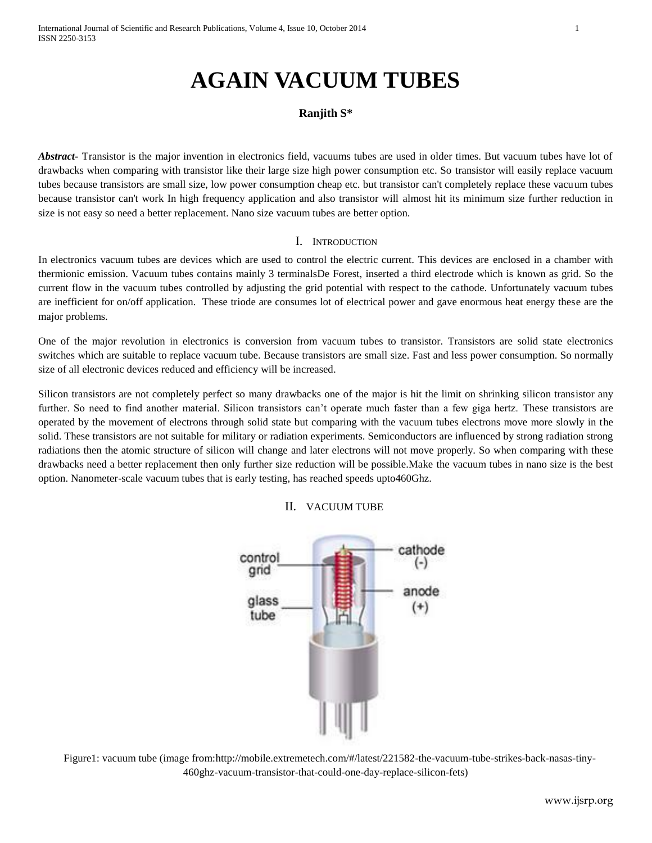# **AGAIN VACUUM TUBES**

## **Ranjith S\***

*Abstract***-** Transistor is the major invention in electronics field, vacuums tubes are used in older times. But vacuum tubes have lot of drawbacks when comparing with transistor like their large size high power consumption etc. So transistor will easily replace vacuum tubes because transistors are small size, low power consumption cheap etc. but transistor can't completely replace these vacuum tubes because transistor can't work In high frequency application and also transistor will almost hit its minimum size further reduction in size is not easy so need a better replacement. Nano size vacuum tubes are better option.

### I. INTRODUCTION

In electronics vacuum tubes are devices which are used to control the electric current. This devices are enclosed in a chamber with thermionic emission. Vacuum tubes contains mainly 3 terminalsDe Forest, inserted a third electrode which is known as grid. So the current flow in the vacuum tubes controlled by adjusting the grid potential with respect to the cathode. Unfortunately vacuum tubes are inefficient for on/off application. These triode are consumes lot of electrical power and gave enormous heat energy these are the major problems.

One of the major revolution in electronics is conversion from vacuum tubes to transistor. Transistors are solid state electronics switches which are suitable to replace vacuum tube. Because transistors are small size. Fast and less power consumption. So normally size of all electronic devices reduced and efficiency will be increased.

Silicon transistors are not completely perfect so many drawbacks one of the major is hit the limit on shrinking silicon transistor any further. So need to find another material. Silicon transistors can't operate much faster than a few giga hertz. These transistors are operated by the movement of electrons through solid state but comparing with the vacuum tubes electrons move more slowly in the solid. These transistors are not suitable for military or radiation experiments. Semiconductors are influenced by strong radiation strong radiations then the atomic structure of silicon will change and later electrons will not move properly. So when comparing with these drawbacks need a better replacement then only further size reduction will be possible.Make the vacuum tubes in nano size is the best option. Nanometer-scale vacuum tubes that is early testing, has reached speeds upto460Ghz.

### II. VACUUM TUBE



 Figure1: vacuum tube (image from[:http://mobile.extremetech.com/#/latest/221582-the-vacuum-tube-strikes-back-nasas-tiny-](http://mobile.extremetech.com/#/latest/221582-the-vacuum-tube-strikes-back-nasas-tiny-460ghz-vacuum-transistor-that-could-one-day-replace-silicon-fets)[460ghz-vacuum-transistor-that-could-one-day-replace-silicon-fets\)](http://mobile.extremetech.com/#/latest/221582-the-vacuum-tube-strikes-back-nasas-tiny-460ghz-vacuum-transistor-that-could-one-day-replace-silicon-fets)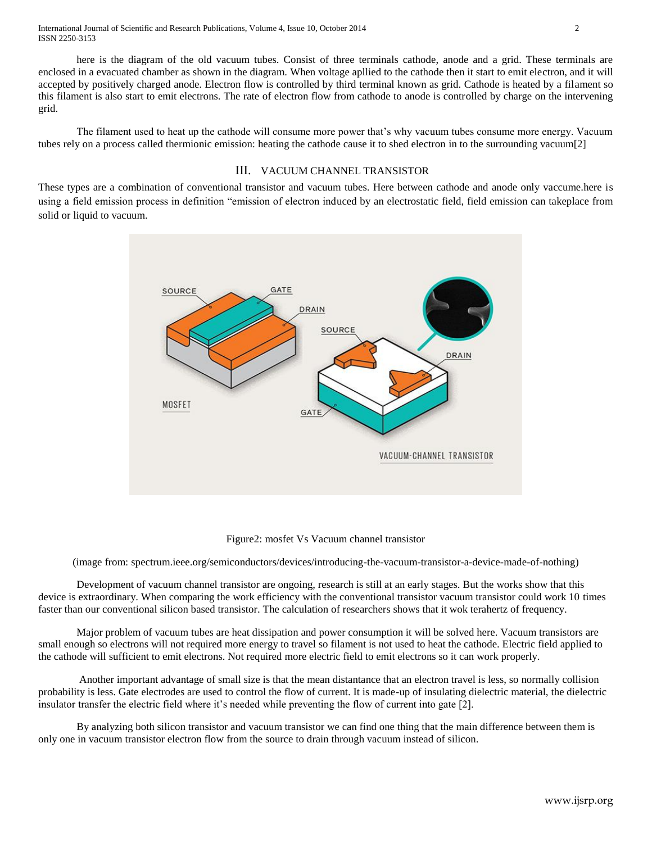International Journal of Scientific and Research Publications, Volume 4, Issue 10, October 2014 2 ISSN 2250-3153

here is the diagram of the old vacuum tubes. Consist of three terminals cathode, anode and a grid. These terminals are enclosed in a evacuated chamber as shown in the diagram. When voltage apllied to the cathode then it start to emit electron, and it will accepted by positively charged anode. Electron flow is controlled by third terminal known as grid. Cathode is heated by a filament so this filament is also start to emit electrons. The rate of electron flow from cathode to anode is controlled by charge on the intervening grid.

The filament used to heat up the cathode will consume more power that's why vacuum tubes consume more energy. Vacuum tubes rely on a process called thermionic emission: heating the cathode cause it to shed electron in to the surrounding vacuum[2]

### III. VACUUM CHANNEL TRANSISTOR

These types are a combination of conventional transistor and vacuum tubes. Here between cathode and anode only vaccume.here is using a field emission process in definition "emission of electron induced by an electrostatic field, field emission can takeplace from solid or liquid to vacuum.



#### Figure2: mosfet Vs Vacuum channel transistor

(image from: spectrum.ieee.org/semiconductors/devices/introducing-the-vacuum-transistor-a-device-made-of-nothing)

Development of vacuum channel transistor are ongoing, research is still at an early stages. But the works show that this device is extraordinary. When comparing the work efficiency with the conventional transistor vacuum transistor could work 10 times faster than our conventional silicon based transistor. The calculation of researchers shows that it wok terahertz of frequency.

Major problem of vacuum tubes are heat dissipation and power consumption it will be solved here. Vacuum transistors are small enough so electrons will not required more energy to travel so filament is not used to heat the cathode. Electric field applied to the cathode will sufficient to emit electrons. Not required more electric field to emit electrons so it can work properly.

Another important advantage of small size is that the mean distantance that an electron travel is less, so normally collision probability is less. Gate electrodes are used to control the flow of current. It is made-up of insulating dielectric material, the dielectric insulator transfer the electric field where it's needed while preventing the flow of current into gate [2].

By analyzing both silicon transistor and vacuum transistor we can find one thing that the main difference between them is only one in vacuum transistor electron flow from the source to drain through vacuum instead of silicon.